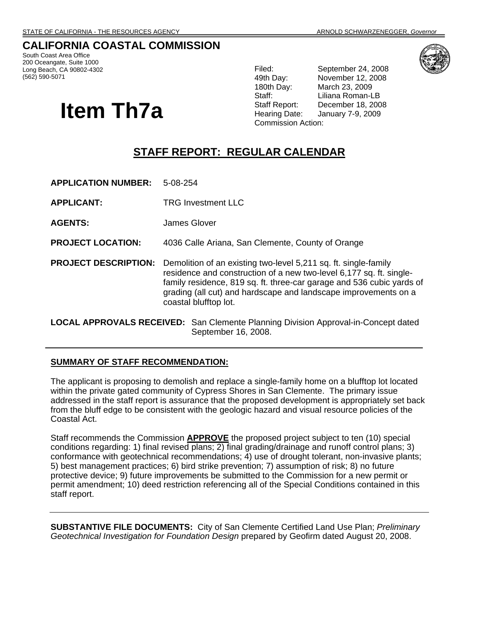# **CALIFORNIA COASTAL COMMISSION**

South Coast Area Office 200 Oceangate, Suite 1000 Long Beach, CA 90802-4302 (562) 590-5071

# **Item Th7a**

Filed: September 24, 2008 49th Day: November 12, 2008 180th Day: March 23, 2009 Staff: Liliana Roman-LB Staff Report: December 18, 2008 Hearing Date: January 7-9, 2009 Commission Action:

# **STAFF REPORT: REGULAR CALENDAR**

| <b>APPLICATION NUMBER:</b>                                                                | 5-08-254                                                                                                                                                                                                                                                                                                    |
|-------------------------------------------------------------------------------------------|-------------------------------------------------------------------------------------------------------------------------------------------------------------------------------------------------------------------------------------------------------------------------------------------------------------|
| <b>APPLICANT:</b>                                                                         | <b>TRG Investment LLC</b>                                                                                                                                                                                                                                                                                   |
| <b>AGENTS:</b>                                                                            | James Glover                                                                                                                                                                                                                                                                                                |
| <b>PROJECT LOCATION:</b>                                                                  | 4036 Calle Ariana, San Clemente, County of Orange                                                                                                                                                                                                                                                           |
| <b>PROJECT DESCRIPTION:</b>                                                               | Demolition of an existing two-level 5,211 sq. ft. single-family<br>residence and construction of a new two-level 6,177 sq. ft. single-<br>family residence, 819 sq. ft. three-car garage and 536 cubic yards of<br>grading (all cut) and hardscape and landscape improvements on a<br>coastal blufftop lot. |
| <b>LOCAL APPROVALS RECEIVED:</b> San Clemente Planning Division Approval-in-Concept dated |                                                                                                                                                                                                                                                                                                             |

#### **SUMMARY OF STAFF RECOMMENDATION:**

The applicant is proposing to demolish and replace a single-family home on a blufftop lot located within the private gated community of Cypress Shores in San Clemente. The primary issue addressed in the staff report is assurance that the proposed development is appropriately set back from the bluff edge to be consistent with the geologic hazard and visual resource policies of the Coastal Act.

September 16, 2008.

Staff recommends the Commission **APPROVE** the proposed project subject to ten (10) special conditions regarding: 1) final revised plans; 2) final grading/drainage and runoff control plans; 3) conformance with geotechnical recommendations; 4) use of drought tolerant, non-invasive plants; 5) best management practices; 6) bird strike prevention; 7) assumption of risk; 8) no future protective device; 9) future improvements be submitted to the Commission for a new permit or permit amendment; 10) deed restriction referencing all of the Special Conditions contained in this staff report.

**SUBSTANTIVE FILE DOCUMENTS:** City of San Clemente Certified Land Use Plan; *Preliminary Geotechnical Investigation for Foundation Design* prepared by Geofirm dated August 20, 2008.

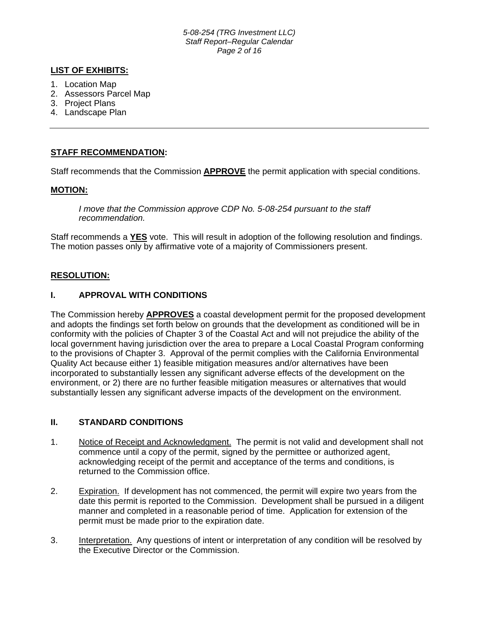*5-08-254 (TRG Investment LLC) Staff Report–Regular Calendar Page 2 of 16*

#### **LIST OF EXHIBITS:**

- 1. Location Map
- 2. Assessors Parcel Map
- 3. Project Plans
- 4. Landscape Plan

#### **STAFF RECOMMENDATION:**

Staff recommends that the Commission **APPROVE** the permit application with special conditions.

#### **MOTION:**

*I move that the Commission approve CDP No. 5-08-254 pursuant to the staff recommendation.* 

Staff recommends a **YES** vote. This will result in adoption of the following resolution and findings. The motion passes only by affirmative vote of a majority of Commissioners present.

#### **RESOLUTION:**

## **I. APPROVAL WITH CONDITIONS**

The Commission hereby **APPROVES** a coastal development permit for the proposed development and adopts the findings set forth below on grounds that the development as conditioned will be in conformity with the policies of Chapter 3 of the Coastal Act and will not prejudice the ability of the local government having jurisdiction over the area to prepare a Local Coastal Program conforming to the provisions of Chapter 3. Approval of the permit complies with the California Environmental Quality Act because either 1) feasible mitigation measures and/or alternatives have been incorporated to substantially lessen any significant adverse effects of the development on the environment, or 2) there are no further feasible mitigation measures or alternatives that would substantially lessen any significant adverse impacts of the development on the environment.

#### **II. STANDARD CONDITIONS**

- 1. Notice of Receipt and Acknowledgment. The permit is not valid and development shall not commence until a copy of the permit, signed by the permittee or authorized agent, acknowledging receipt of the permit and acceptance of the terms and conditions, is returned to the Commission office.
- 2. Expiration. If development has not commenced, the permit will expire two years from the date this permit is reported to the Commission. Development shall be pursued in a diligent manner and completed in a reasonable period of time. Application for extension of the permit must be made prior to the expiration date.
- 3. Interpretation. Any questions of intent or interpretation of any condition will be resolved by the Executive Director or the Commission.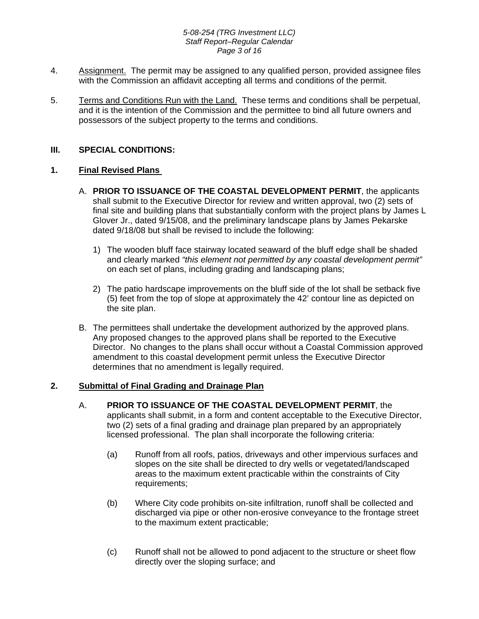#### *5-08-254 (TRG Investment LLC) Staff Report–Regular Calendar Page 3 of 16*

- 4. Assignment. The permit may be assigned to any qualified person, provided assignee files with the Commission an affidavit accepting all terms and conditions of the permit.
- 5. Terms and Conditions Run with the Land. These terms and conditions shall be perpetual, and it is the intention of the Commission and the permittee to bind all future owners and possessors of the subject property to the terms and conditions.

## **III. SPECIAL CONDITIONS:**

## **1. Final Revised Plans**

- A. **PRIOR TO ISSUANCE OF THE COASTAL DEVELOPMENT PERMIT**, the applicants shall submit to the Executive Director for review and written approval, two (2) sets of final site and building plans that substantially conform with the project plans by James L Glover Jr., dated 9/15/08, and the preliminary landscape plans by James Pekarske dated 9/18/08 but shall be revised to include the following:
	- 1) The wooden bluff face stairway located seaward of the bluff edge shall be shaded and clearly marked *"this element not permitted by any coastal development permit"* on each set of plans, including grading and landscaping plans;
	- 2) The patio hardscape improvements on the bluff side of the lot shall be setback five (5) feet from the top of slope at approximately the 42' contour line as depicted on the site plan.
- B. The permittees shall undertake the development authorized by the approved plans. Any proposed changes to the approved plans shall be reported to the Executive Director. No changes to the plans shall occur without a Coastal Commission approved amendment to this coastal development permit unless the Executive Director determines that no amendment is legally required.

## **2. Submittal of Final Grading and Drainage Plan**

- A. **PRIOR TO ISSUANCE OF THE COASTAL DEVELOPMENT PERMIT**, the applicants shall submit, in a form and content acceptable to the Executive Director, two (2) sets of a final grading and drainage plan prepared by an appropriately licensed professional. The plan shall incorporate the following criteria:
	- (a) Runoff from all roofs, patios, driveways and other impervious surfaces and slopes on the site shall be directed to dry wells or vegetated/landscaped areas to the maximum extent practicable within the constraints of City requirements;
	- (b) Where City code prohibits on-site infiltration, runoff shall be collected and discharged via pipe or other non-erosive conveyance to the frontage street to the maximum extent practicable;
	- (c) Runoff shall not be allowed to pond adjacent to the structure or sheet flow directly over the sloping surface; and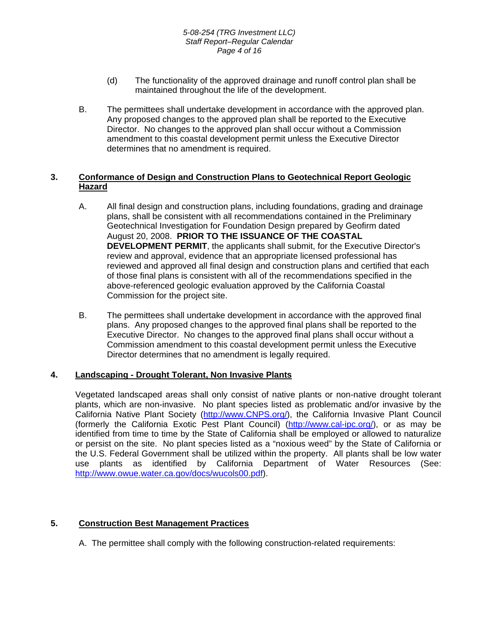- (d) The functionality of the approved drainage and runoff control plan shall be maintained throughout the life of the development.
- B. The permittees shall undertake development in accordance with the approved plan. Any proposed changes to the approved plan shall be reported to the Executive Director. No changes to the approved plan shall occur without a Commission amendment to this coastal development permit unless the Executive Director determines that no amendment is required.

## **3. Conformance of Design and Construction Plans to Geotechnical Report Geologic Hazard**

- A. All final design and construction plans, including foundations, grading and drainage plans, shall be consistent with all recommendations contained in the Preliminary Geotechnical Investigation for Foundation Design prepared by Geofirm dated August 20, 2008. **PRIOR TO THE ISSUANCE OF THE COASTAL DEVELOPMENT PERMIT**, the applicants shall submit, for the Executive Director's review and approval, evidence that an appropriate licensed professional has reviewed and approved all final design and construction plans and certified that each of those final plans is consistent with all of the recommendations specified in the above-referenced geologic evaluation approved by the California Coastal Commission for the project site.
- B. The permittees shall undertake development in accordance with the approved final plans. Any proposed changes to the approved final plans shall be reported to the Executive Director. No changes to the approved final plans shall occur without a Commission amendment to this coastal development permit unless the Executive Director determines that no amendment is legally required.

## **4. Landscaping - Drought Tolerant, Non Invasive Plants**

Vegetated landscaped areas shall only consist of native plants or non-native drought tolerant plants, which are non-invasive. No plant species listed as problematic and/or invasive by the California Native Plant Society [\(http://www.CNPS.org/\)](http://www.cnps.org/), the California Invasive Plant Council (formerly the California Exotic Pest Plant Council) ([http://www.cal-ipc.org/\)](http://www.cal-ipc.org/), or as may be identified from time to time by the State of California shall be employed or allowed to naturalize or persist on the site. No plant species listed as a "noxious weed" by the State of California or the U.S. Federal Government shall be utilized within the property. All plants shall be low water use plants as identified by California Department of Water Resources (See: <http://www.owue.water.ca.gov/docs/wucols00.pdf>).

# **5. Construction Best Management Practices**

A. The permittee shall comply with the following construction-related requirements: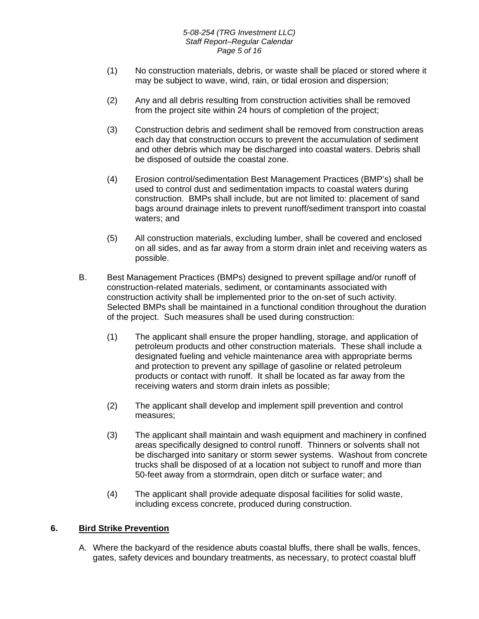#### *5-08-254 (TRG Investment LLC) Staff Report–Regular Calendar Page 5 of 16*

- (1) No construction materials, debris, or waste shall be placed or stored where it may be subject to wave, wind, rain, or tidal erosion and dispersion;
- (2) Any and all debris resulting from construction activities shall be removed from the project site within 24 hours of completion of the project;
- (3) Construction debris and sediment shall be removed from construction areas each day that construction occurs to prevent the accumulation of sediment and other debris which may be discharged into coastal waters. Debris shall be disposed of outside the coastal zone.
- (4) Erosion control/sedimentation Best Management Practices (BMP's) shall be used to control dust and sedimentation impacts to coastal waters during construction. BMPs shall include, but are not limited to: placement of sand bags around drainage inlets to prevent runoff/sediment transport into coastal waters; and
- (5) All construction materials, excluding lumber, shall be covered and enclosed on all sides, and as far away from a storm drain inlet and receiving waters as possible.
- B. Best Management Practices (BMPs) designed to prevent spillage and/or runoff of construction-related materials, sediment, or contaminants associated with construction activity shall be implemented prior to the on-set of such activity. Selected BMPs shall be maintained in a functional condition throughout the duration of the project. Such measures shall be used during construction:
	- (1) The applicant shall ensure the proper handling, storage, and application of petroleum products and other construction materials. These shall include a designated fueling and vehicle maintenance area with appropriate berms and protection to prevent any spillage of gasoline or related petroleum products or contact with runoff. It shall be located as far away from the receiving waters and storm drain inlets as possible;
	- (2) The applicant shall develop and implement spill prevention and control measures;
	- (3) The applicant shall maintain and wash equipment and machinery in confined areas specifically designed to control runoff. Thinners or solvents shall not be discharged into sanitary or storm sewer systems. Washout from concrete trucks shall be disposed of at a location not subject to runoff and more than 50-feet away from a stormdrain, open ditch or surface water; and
	- (4) The applicant shall provide adequate disposal facilities for solid waste, including excess concrete, produced during construction.

## **6. Bird Strike Prevention**

A. Where the backyard of the residence abuts coastal bluffs, there shall be walls, fences, gates, safety devices and boundary treatments, as necessary, to protect coastal bluff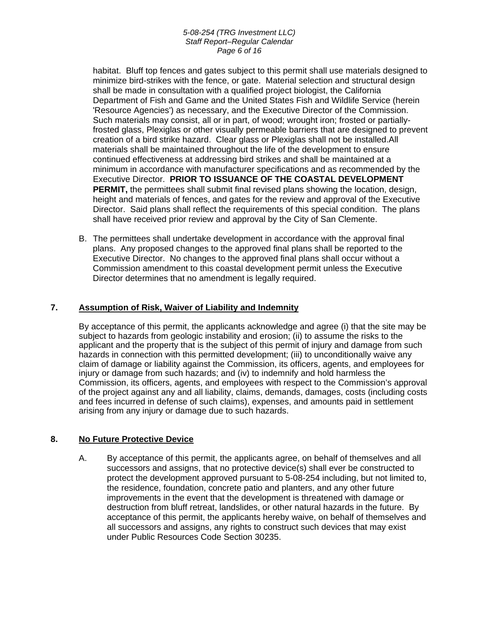habitat. Bluff top fences and gates subject to this permit shall use materials designed to minimize bird-strikes with the fence, or gate. Material selection and structural design shall be made in consultation with a qualified project biologist, the California Department of Fish and Game and the United States Fish and Wildlife Service (herein 'Resource Agencies') as necessary, and the Executive Director of the Commission. Such materials may consist, all or in part, of wood; wrought iron; frosted or partiallyfrosted glass, Plexiglas or other visually permeable barriers that are designed to prevent creation of a bird strike hazard. Clear glass or Plexiglas shall not be installed.All materials shall be maintained throughout the life of the development to ensure continued effectiveness at addressing bird strikes and shall be maintained at a minimum in accordance with manufacturer specifications and as recommended by the Executive Director. **PRIOR TO ISSUANCE OF THE COASTAL DEVELOPMENT PERMIT,** the permittees shall submit final revised plans showing the location, design, height and materials of fences, and gates for the review and approval of the Executive Director. Said plans shall reflect the requirements of this special condition. The plans shall have received prior review and approval by the City of San Clemente.

B. The permittees shall undertake development in accordance with the approval final plans. Any proposed changes to the approved final plans shall be reported to the Executive Director. No changes to the approved final plans shall occur without a Commission amendment to this coastal development permit unless the Executive Director determines that no amendment is legally required.

## **7. Assumption of Risk, Waiver of Liability and Indemnity**

By acceptance of this permit, the applicants acknowledge and agree (i) that the site may be subject to hazards from geologic instability and erosion; (ii) to assume the risks to the applicant and the property that is the subject of this permit of injury and damage from such hazards in connection with this permitted development; (iii) to unconditionally waive any claim of damage or liability against the Commission, its officers, agents, and employees for injury or damage from such hazards; and (iv) to indemnify and hold harmless the Commission, its officers, agents, and employees with respect to the Commission's approval of the project against any and all liability, claims, demands, damages, costs (including costs and fees incurred in defense of such claims), expenses, and amounts paid in settlement arising from any injury or damage due to such hazards.

## **8. No Future Protective Device**

A. By acceptance of this permit, the applicants agree, on behalf of themselves and all successors and assigns, that no protective device(s) shall ever be constructed to protect the development approved pursuant to 5-08-254 including, but not limited to, the residence, foundation, concrete patio and planters, and any other future improvements in the event that the development is threatened with damage or destruction from bluff retreat, landslides, or other natural hazards in the future. By acceptance of this permit, the applicants hereby waive, on behalf of themselves and all successors and assigns, any rights to construct such devices that may exist under Public Resources Code Section 30235.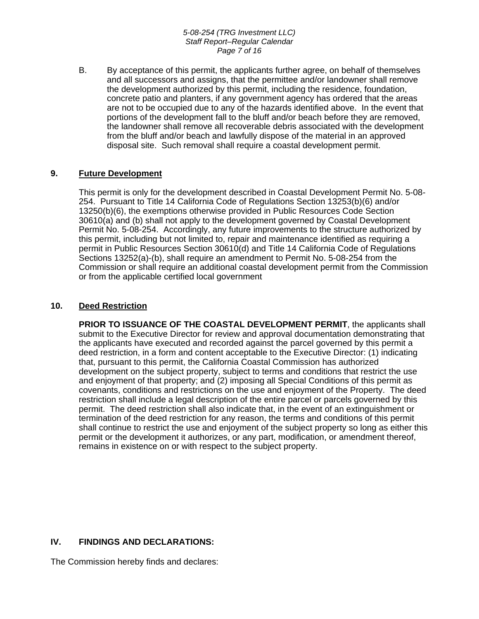#### *5-08-254 (TRG Investment LLC) Staff Report–Regular Calendar Page 7 of 16*

B. By acceptance of this permit, the applicants further agree, on behalf of themselves and all successors and assigns, that the permittee and/or landowner shall remove the development authorized by this permit, including the residence, foundation, concrete patio and planters, if any government agency has ordered that the areas are not to be occupied due to any of the hazards identified above. In the event that portions of the development fall to the bluff and/or beach before they are removed, the landowner shall remove all recoverable debris associated with the development from the bluff and/or beach and lawfully dispose of the material in an approved disposal site. Such removal shall require a coastal development permit.

## **9. Future Development**

This permit is only for the development described in Coastal Development Permit No. 5-08- 254. Pursuant to Title 14 California Code of Regulations Section 13253(b)(6) and/or 13250(b)(6), the exemptions otherwise provided in Public Resources Code Section 30610(a) and (b) shall not apply to the development governed by Coastal Development Permit No. 5-08-254. Accordingly, any future improvements to the structure authorized by this permit, including but not limited to, repair and maintenance identified as requiring a permit in Public Resources Section 30610(d) and Title 14 California Code of Regulations Sections 13252(a)-(b), shall require an amendment to Permit No. 5-08-254 from the Commission or shall require an additional coastal development permit from the Commission or from the applicable certified local government

## **10. Deed Restriction**

**PRIOR TO ISSUANCE OF THE COASTAL DEVELOPMENT PERMIT**, the applicants shall submit to the Executive Director for review and approval documentation demonstrating that the applicants have executed and recorded against the parcel governed by this permit a deed restriction, in a form and content acceptable to the Executive Director: (1) indicating that, pursuant to this permit, the California Coastal Commission has authorized development on the subject property, subject to terms and conditions that restrict the use and enjoyment of that property; and (2) imposing all Special Conditions of this permit as covenants, conditions and restrictions on the use and enjoyment of the Property. The deed restriction shall include a legal description of the entire parcel or parcels governed by this permit. The deed restriction shall also indicate that, in the event of an extinguishment or termination of the deed restriction for any reason, the terms and conditions of this permit shall continue to restrict the use and enjoyment of the subject property so long as either this permit or the development it authorizes, or any part, modification, or amendment thereof, remains in existence on or with respect to the subject property.

# **IV. FINDINGS AND DECLARATIONS:**

The Commission hereby finds and declares: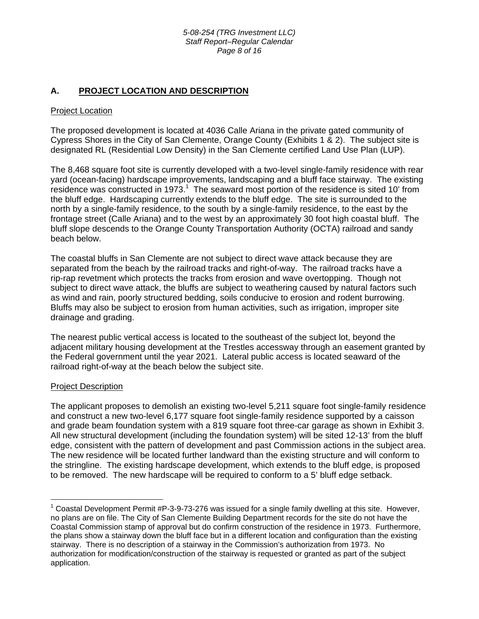## **A. PROJECT LOCATION AND DESCRIPTION**

#### **Project Location**

The proposed development is located at 4036 Calle Ariana in the private gated community of Cypress Shores in the City of San Clemente, Orange County (Exhibits 1 & 2). The subject site is designated RL (Residential Low Density) in the San Clemente certified Land Use Plan (LUP).

The 8,468 square foot site is currently developed with a two-level single-family residence with rear yard (ocean-facing) hardscape improvements, landscaping and a bluff face stairway. The existing residence was constructed in [1](#page-7-0)973. $^1$  The seaward most portion of the residence is sited 10' from the bluff edge. Hardscaping currently extends to the bluff edge. The site is surrounded to the north by a single-family residence, to the south by a single-family residence, to the east by the frontage street (Calle Ariana) and to the west by an approximately 30 foot high coastal bluff. The bluff slope descends to the Orange County Transportation Authority (OCTA) railroad and sandy beach below.

The coastal bluffs in San Clemente are not subject to direct wave attack because they are separated from the beach by the railroad tracks and right-of-way. The railroad tracks have a rip-rap revetment which protects the tracks from erosion and wave overtopping. Though not subject to direct wave attack, the bluffs are subject to weathering caused by natural factors such as wind and rain, poorly structured bedding, soils conducive to erosion and rodent burrowing. Bluffs may also be subject to erosion from human activities, such as irrigation, improper site drainage and grading.

The nearest public vertical access is located to the southeast of the subject lot, beyond the adjacent military housing development at the Trestles accessway through an easement granted by the Federal government until the year 2021. Lateral public access is located seaward of the railroad right-of-way at the beach below the subject site.

#### Project Description

 $\overline{a}$ 

The applicant proposes to demolish an existing two-level 5,211 square foot single-family residence and construct a new two-level 6,177 square foot single-family residence supported by a caisson and grade beam foundation system with a 819 square foot three-car garage as shown in Exhibit 3. All new structural development (including the foundation system) will be sited 12-13' from the bluff edge, consistent with the pattern of development and past Commission actions in the subject area. The new residence will be located further landward than the existing structure and will conform to the stringline. The existing hardscape development, which extends to the bluff edge, is proposed to be removed. The new hardscape will be required to conform to a 5' bluff edge setback.

<span id="page-7-0"></span> $1$  Coastal Development Permit #P-3-9-73-276 was issued for a single family dwelling at this site. However, no plans are on file. The City of San Clemente Building Department records for the site do not have the Coastal Commission stamp of approval but do confirm construction of the residence in 1973. Furthermore, the plans show a stairway down the bluff face but in a different location and configuration than the existing stairway. There is no description of a stairway in the Commission's authorization from 1973. No authorization for modification/construction of the stairway is requested or granted as part of the subject application.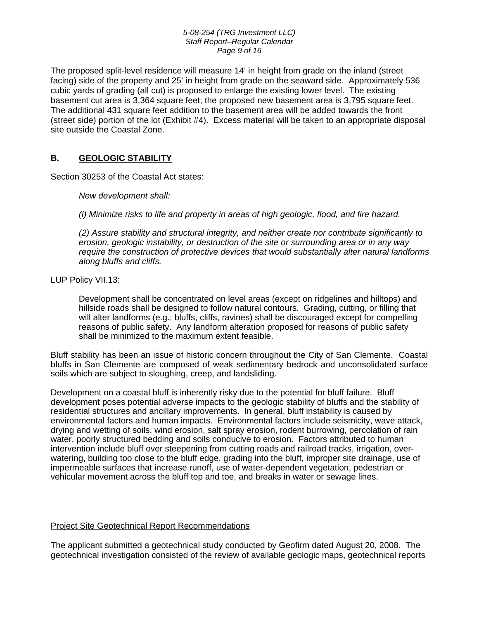#### *5-08-254 (TRG Investment LLC) Staff Report–Regular Calendar Page 9 of 16*

The proposed split-level residence will measure 14' in height from grade on the inland (street facing) side of the property and 25' in height from grade on the seaward side. Approximately 536 cubic yards of grading (all cut) is proposed to enlarge the existing lower level. The existing basement cut area is 3,364 square feet; the proposed new basement area is 3,795 square feet. The additional 431 square feet addition to the basement area will be added towards the front (street side) portion of the lot (Exhibit #4). Excess material will be taken to an appropriate disposal site outside the Coastal Zone.

## **B. GEOLOGIC STABILITY**

Section 30253 of the Coastal Act states:

*New development shall:* 

 *(l) Minimize risks to life and property in areas of high geologic, flood, and fire hazard.* 

 *(2) Assure stability and structural integrity, and neither create nor contribute significantly to erosion, geologic instability, or destruction of the site or surrounding area or in any way require the construction of protective devices that would substantially alter natural landforms along bluffs and cliffs.* 

LUP Policy VII.13:

Development shall be concentrated on level areas (except on ridgelines and hilltops) and hillside roads shall be designed to follow natural contours. Grading, cutting, or filling that will alter landforms (e.g.; bluffs, cliffs, ravines) shall be discouraged except for compelling reasons of public safety. Any landform alteration proposed for reasons of public safety shall be minimized to the maximum extent feasible.

Bluff stability has been an issue of historic concern throughout the City of San Clemente. Coastal bluffs in San Clemente are composed of weak sedimentary bedrock and unconsolidated surface soils which are subject to sloughing, creep, and landsliding.

Development on a coastal bluff is inherently risky due to the potential for bluff failure. Bluff development poses potential adverse impacts to the geologic stability of bluffs and the stability of residential structures and ancillary improvements. In general, bluff instability is caused by environmental factors and human impacts. Environmental factors include seismicity, wave attack, drying and wetting of soils, wind erosion, salt spray erosion, rodent burrowing, percolation of rain water, poorly structured bedding and soils conducive to erosion. Factors attributed to human intervention include bluff over steepening from cutting roads and railroad tracks, irrigation, overwatering, building too close to the bluff edge, grading into the bluff, improper site drainage, use of impermeable surfaces that increase runoff, use of water-dependent vegetation, pedestrian or vehicular movement across the bluff top and toe, and breaks in water or sewage lines.

## Project Site Geotechnical Report Recommendations

The applicant submitted a geotechnical study conducted by Geofirm dated August 20, 2008. The geotechnical investigation consisted of the review of available geologic maps, geotechnical reports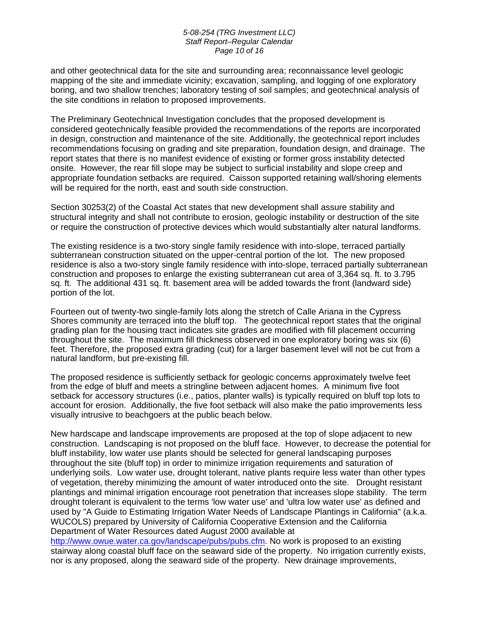#### *5-08-254 (TRG Investment LLC) Staff Report–Regular Calendar Page 10 of 16*

and other geotechnical data for the site and surrounding area; reconnaissance level geologic mapping of the site and immediate vicinity; excavation, sampling, and logging of one exploratory boring, and two shallow trenches; laboratory testing of soil samples; and geotechnical analysis of the site conditions in relation to proposed improvements.

The Preliminary Geotechnical Investigation concludes that the proposed development is considered geotechnically feasible provided the recommendations of the reports are incorporated in design, construction and maintenance of the site. Additionally, the geotechnical report includes recommendations focusing on grading and site preparation, foundation design, and drainage. The report states that there is no manifest evidence of existing or former gross instability detected onsite. However, the rear fill slope may be subject to surficial instability and slope creep and appropriate foundation setbacks are required. Caisson supported retaining wall/shoring elements will be required for the north, east and south side construction.

Section 30253(2) of the Coastal Act states that new development shall assure stability and structural integrity and shall not contribute to erosion, geologic instability or destruction of the site or require the construction of protective devices which would substantially alter natural landforms.

The existing residence is a two-story single family residence with into-slope, terraced partially subterranean construction situated on the upper-central portion of the lot. The new proposed residence is also a two-story single family residence with into-slope, terraced partially subterranean construction and proposes to enlarge the existing subterranean cut area of 3,364 sq. ft. to 3.795 sq. ft. The additional 431 sq. ft. basement area will be added towards the front (landward side) portion of the lot.

Fourteen out of twenty-two single-family lots along the stretch of Calle Ariana in the Cypress Shores community are terraced into the bluff top. The geotechnical report states that the original grading plan for the housing tract indicates site grades are modified with fill placement occurring throughout the site. The maximum fill thickness observed in one exploratory boring was six (6) feet. Therefore, the proposed extra grading (cut) for a larger basement level will not be cut from a natural landform, but pre-existing fill.

The proposed residence is sufficiently setback for geologic concerns approximately twelve feet from the edge of bluff and meets a stringline between adjacent homes. A minimum five foot setback for accessory structures (i.e., patios, planter walls) is typically required on bluff top lots to account for erosion. Additionally, the five foot setback will also make the patio improvements less visually intrusive to beachgoers at the public beach below.

New hardscape and landscape improvements are proposed at the top of slope adjacent to new construction. Landscaping is not proposed on the bluff face. However, to decrease the potential for bluff instability, low water use plants should be selected for general landscaping purposes throughout the site (bluff top) in order to minimize irrigation requirements and saturation of underlying soils. Low water use, drought tolerant, native plants require less water than other types of vegetation, thereby minimizing the amount of water introduced onto the site. Drought resistant plantings and minimal irrigation encourage root penetration that increases slope stability. The term drought tolerant is equivalent to the terms 'low water use' and 'ultra low water use' as defined and used by "A Guide to Estimating Irrigation Water Needs of Landscape Plantings in California" (a.k.a. WUCOLS) prepared by University of California Cooperative Extension and the California Department of Water Resources dated August 2000 available at

[http://www.owue.water.ca.gov/landscape/pubs/pubs.cfm.](http://www.owue.water.ca.gov/landscape/pubs/pubs.cfm) No work is proposed to an existing stairway along coastal bluff face on the seaward side of the property. No irrigation currently exists, nor is any proposed, along the seaward side of the property. New drainage improvements,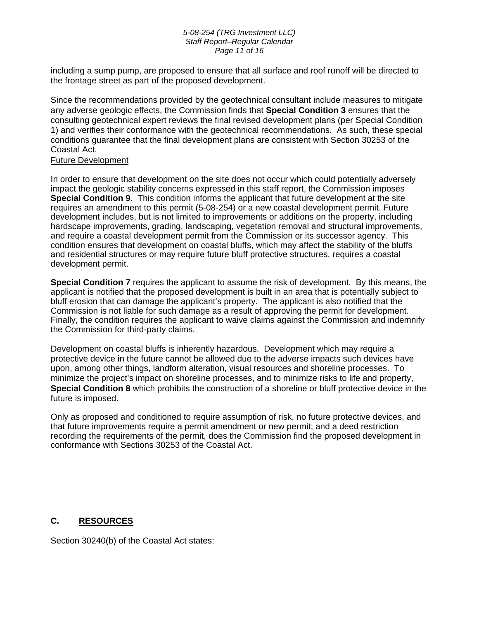#### *5-08-254 (TRG Investment LLC) Staff Report–Regular Calendar Page 11 of 16*

including a sump pump, are proposed to ensure that all surface and roof runoff will be directed to the frontage street as part of the proposed development.

Since the recommendations provided by the geotechnical consultant include measures to mitigate any adverse geologic effects, the Commission finds that **Special Condition 3** ensures that the consulting geotechnical expert reviews the final revised development plans (per Special Condition 1) and verifies their conformance with the geotechnical recommendations. As such, these special conditions guarantee that the final development plans are consistent with Section 30253 of the Coastal Act.

## Future Development

In order to ensure that development on the site does not occur which could potentially adversely impact the geologic stability concerns expressed in this staff report, the Commission imposes **Special Condition 9**. This condition informs the applicant that future development at the site requires an amendment to this permit (5-08-254) or a new coastal development permit. Future development includes, but is not limited to improvements or additions on the property, including hardscape improvements, grading, landscaping, vegetation removal and structural improvements, and require a coastal development permit from the Commission or its successor agency. This condition ensures that development on coastal bluffs, which may affect the stability of the bluffs and residential structures or may require future bluff protective structures, requires a coastal development permit.

**Special Condition 7** requires the applicant to assume the risk of development. By this means, the applicant is notified that the proposed development is built in an area that is potentially subject to bluff erosion that can damage the applicant's property. The applicant is also notified that the Commission is not liable for such damage as a result of approving the permit for development. Finally, the condition requires the applicant to waive claims against the Commission and indemnify the Commission for third-party claims.

Development on coastal bluffs is inherently hazardous. Development which may require a protective device in the future cannot be allowed due to the adverse impacts such devices have upon, among other things, landform alteration, visual resources and shoreline processes. To minimize the project's impact on shoreline processes, and to minimize risks to life and property, **Special Condition 8** which prohibits the construction of a shoreline or bluff protective device in the future is imposed.

Only as proposed and conditioned to require assumption of risk, no future protective devices, and that future improvements require a permit amendment or new permit; and a deed restriction recording the requirements of the permit, does the Commission find the proposed development in conformance with Sections 30253 of the Coastal Act.

# **C. RESOURCES**

Section 30240(b) of the Coastal Act states: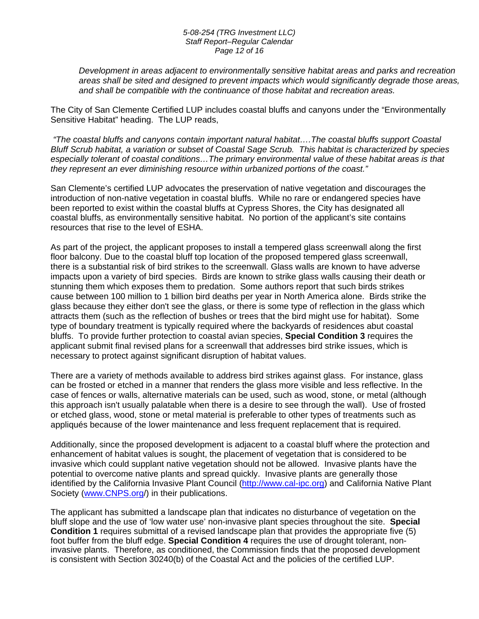#### *5-08-254 (TRG Investment LLC) Staff Report–Regular Calendar Page 12 of 16*

*Development in areas adjacent to environmentally sensitive habitat areas and parks and recreation areas shall be sited and designed to prevent impacts which would significantly degrade those areas, and shall be compatible with the continuance of those habitat and recreation areas.* 

The City of San Clemente Certified LUP includes coastal bluffs and canyons under the "Environmentally Sensitive Habitat" heading. The LUP reads,

 *"The coastal bluffs and canyons contain important natural habitat….The coastal bluffs support Coastal Bluff Scrub habitat, a variation or subset of Coastal Sage Scrub. This habitat is characterized by species especially tolerant of coastal conditions…The primary environmental value of these habitat areas is that they represent an ever diminishing resource within urbanized portions of the coast."* 

San Clemente's certified LUP advocates the preservation of native vegetation and discourages the introduction of non-native vegetation in coastal bluffs. While no rare or endangered species have been reported to exist within the coastal bluffs at Cypress Shores, the City has designated all coastal bluffs, as environmentally sensitive habitat. No portion of the applicant's site contains resources that rise to the level of ESHA.

As part of the project, the applicant proposes to install a tempered glass screenwall along the first floor balcony. Due to the coastal bluff top location of the proposed tempered glass screenwall, there is a substantial risk of bird strikes to the screenwall. Glass walls are known to have adverse impacts upon a variety of bird species. Birds are known to strike glass walls causing their death or stunning them which exposes them to predation. Some authors report that such birds strikes cause between 100 million to 1 billion bird deaths per year in North America alone. Birds strike the glass because they either don't see the glass, or there is some type of reflection in the glass which attracts them (such as the reflection of bushes or trees that the bird might use for habitat). Some type of boundary treatment is typically required where the backyards of residences abut coastal bluffs. To provide further protection to coastal avian species, **Special Condition 3** requires the applicant submit final revised plans for a screenwall that addresses bird strike issues, which is necessary to protect against significant disruption of habitat values.

There are a variety of methods available to address bird strikes against glass. For instance, glass can be frosted or etched in a manner that renders the glass more visible and less reflective. In the case of fences or walls, alternative materials can be used, such as wood, stone, or metal (although this approach isn't usually palatable when there is a desire to see through the wall). Use of frosted or etched glass, wood, stone or metal material is preferable to other types of treatments such as appliqués because of the lower maintenance and less frequent replacement that is required.

Additionally, since the proposed development is adjacent to a coastal bluff where the protection and enhancement of habitat values is sought, the placement of vegetation that is considered to be invasive which could supplant native vegetation should not be allowed. Invasive plants have the potential to overcome native plants and spread quickly. Invasive plants are generally those identified by the California Invasive Plant Council [\(http://www.cal-ipc.org\)](http://www.cale-pipc.org/) and California Native Plant Society ([www.CNPS.org/](http://www.cnps.org/)) in their publications.

The applicant has submitted a landscape plan that indicates no disturbance of vegetation on the bluff slope and the use of 'low water use' non-invasive plant species throughout the site. **Special Condition 1** requires submittal of a revised landscape plan that provides the appropriate five (5) foot buffer from the bluff edge. **Special Condition 4** requires the use of drought tolerant, noninvasive plants. Therefore, as conditioned, the Commission finds that the proposed development is consistent with Section 30240(b) of the Coastal Act and the policies of the certified LUP.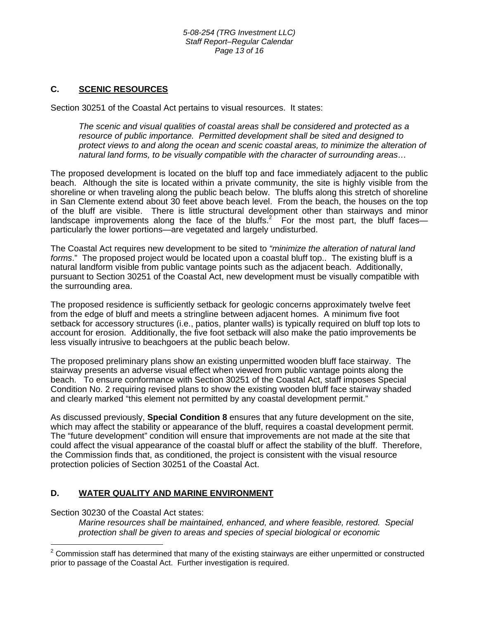## **C. SCENIC RESOURCES**

Section 30251 of the Coastal Act pertains to visual resources. It states:

*The scenic and visual qualities of coastal areas shall be considered and protected as a resource of public importance. Permitted development shall be sited and designed to protect views to and along the ocean and scenic coastal areas, to minimize the alteration of natural land forms, to be visually compatible with the character of surrounding areas…* 

The proposed development is located on the bluff top and face immediately adjacent to the public beach. Although the site is located within a private community, the site is highly visible from the shoreline or when traveling along the public beach below. The bluffs along this stretch of shoreline in San Clemente extend about 30 feet above beach level. From the beach, the houses on the top of the bluff are visible. There is little structural development other than stairways and minor landscape improvements along the face of the bluffs.<sup>2</sup> For the most part, the bluff facesparticularly the lower portions—are vegetated and largely undisturbed.

The Coastal Act requires new development to be sited to *"minimize the alteration of natural land forms*." The proposed project would be located upon a coastal bluff top.. The existing bluff is a natural landform visible from public vantage points such as the adjacent beach. Additionally, pursuant to Section 30251 of the Coastal Act, new development must be visually compatible with the surrounding area.

The proposed residence is sufficiently setback for geologic concerns approximately twelve feet from the edge of bluff and meets a stringline between adjacent homes. A minimum five foot setback for accessory structures (i.e., patios, planter walls) is typically required on bluff top lots to account for erosion. Additionally, the five foot setback will also make the patio improvements be less visually intrusive to beachgoers at the public beach below.

The proposed preliminary plans show an existing unpermitted wooden bluff face stairway. The stairway presents an adverse visual effect when viewed from public vantage points along the beach. To ensure conformance with Section 30251 of the Coastal Act, staff imposes Special Condition No. 2 requiring revised plans to show the existing wooden bluff face stairway shaded and clearly marked "this element not permitted by any coastal development permit."

As discussed previously, **Special Condition 8** ensures that any future development on the site, which may affect the stability or appearance of the bluff, requires a coastal development permit. The "future development" condition will ensure that improvements are not made at the site that could affect the visual appearance of the coastal bluff or affect the stability of the bluff. Therefore, the Commission finds that, as conditioned, the project is consistent with the visual resource protection policies of Section 30251 of the Coastal Act.

# **D. WATER QUALITY AND MARINE ENVIRONMENT**

Section 30230 of the Coastal Act states:

*Marine resources shall be maintained, enhanced, and where feasible, restored. Special protection shall be given to areas and species of special biological or economic* 

<span id="page-12-0"></span> $\overline{a}$  $2$  Commission staff has determined that many of the existing stairways are either unpermitted or constructed prior to passage of the Coastal Act. Further investigation is required.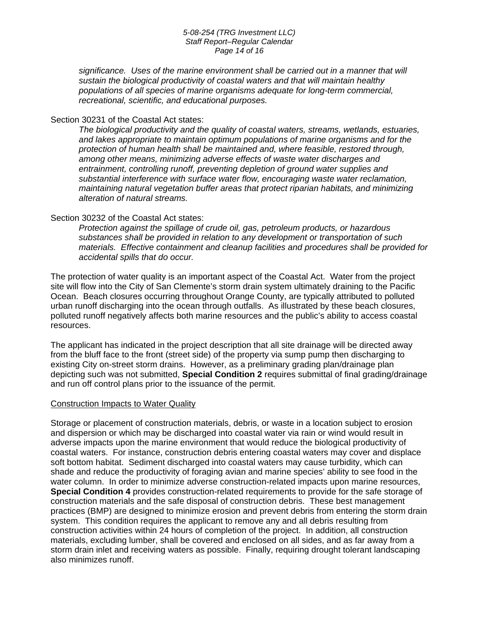#### *5-08-254 (TRG Investment LLC) Staff Report–Regular Calendar Page 14 of 16*

*significance. Uses of the marine environment shall be carried out in a manner that will sustain the biological productivity of coastal waters and that will maintain healthy populations of all species of marine organisms adequate for long-term commercial, recreational, scientific, and educational purposes.* 

#### Section 30231 of the Coastal Act states:

*The biological productivity and the quality of coastal waters, streams, wetlands, estuaries, and lakes appropriate to maintain optimum populations of marine organisms and for the protection of human health shall be maintained and, where feasible, restored through, among other means, minimizing adverse effects of waste water discharges and entrainment, controlling runoff, preventing depletion of ground water supplies and substantial interference with surface water flow, encouraging waste water reclamation, maintaining natural vegetation buffer areas that protect riparian habitats, and minimizing alteration of natural streams.* 

#### Section 30232 of the Coastal Act states:

*Protection against the spillage of crude oil, gas, petroleum products, or hazardous substances shall be provided in relation to any development or transportation of such materials. Effective containment and cleanup facilities and procedures shall be provided for accidental spills that do occur.*

The protection of water quality is an important aspect of the Coastal Act. Water from the project site will flow into the City of San Clemente's storm drain system ultimately draining to the Pacific Ocean. Beach closures occurring throughout Orange County, are typically attributed to polluted urban runoff discharging into the ocean through outfalls. As illustrated by these beach closures, polluted runoff negatively affects both marine resources and the public's ability to access coastal resources.

The applicant has indicated in the project description that all site drainage will be directed away from the bluff face to the front (street side) of the property via sump pump then discharging to existing City on-street storm drains. However, as a preliminary grading plan/drainage plan depicting such was not submitted, **Special Condition 2** requires submittal of final grading/drainage and run off control plans prior to the issuance of the permit.

#### Construction Impacts to Water Quality

Storage or placement of construction materials, debris, or waste in a location subject to erosion and dispersion or which may be discharged into coastal water via rain or wind would result in adverse impacts upon the marine environment that would reduce the biological productivity of coastal waters. For instance, construction debris entering coastal waters may cover and displace soft bottom habitat. Sediment discharged into coastal waters may cause turbidity, which can shade and reduce the productivity of foraging avian and marine species' ability to see food in the water column. In order to minimize adverse construction-related impacts upon marine resources, **Special Condition 4** provides construction-related requirements to provide for the safe storage of construction materials and the safe disposal of construction debris. These best management practices (BMP) are designed to minimize erosion and prevent debris from entering the storm drain system. This condition requires the applicant to remove any and all debris resulting from construction activities within 24 hours of completion of the project. In addition, all construction materials, excluding lumber, shall be covered and enclosed on all sides, and as far away from a storm drain inlet and receiving waters as possible. Finally, requiring drought tolerant landscaping also minimizes runoff.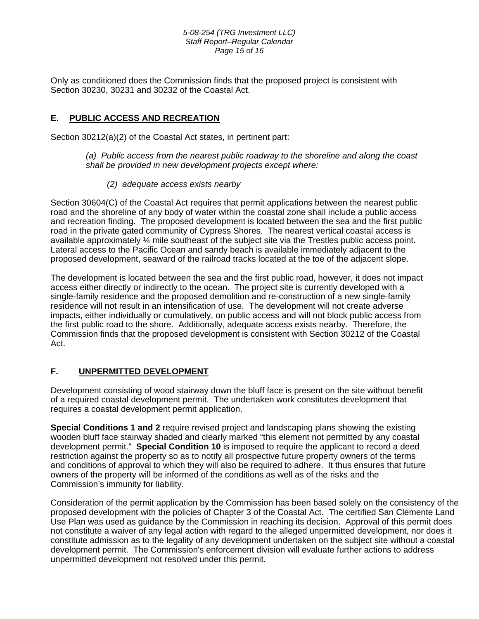#### *5-08-254 (TRG Investment LLC) Staff Report–Regular Calendar Page 15 of 16*

Only as conditioned does the Commission finds that the proposed project is consistent with Section 30230, 30231 and 30232 of the Coastal Act.

# **E. PUBLIC ACCESS AND RECREATION**

Section 30212(a)(2) of the Coastal Act states, in pertinent part:

*(a) Public access from the nearest public roadway to the shoreline and along the coast shall be provided in new development projects except where:* 

 *(2) adequate access exists nearby* 

Section 30604(C) of the Coastal Act requires that permit applications between the nearest public road and the shoreline of any body of water within the coastal zone shall include a public access and recreation finding. The proposed development is located between the sea and the first public road in the private gated community of Cypress Shores. The nearest vertical coastal access is available approximately ¼ mile southeast of the subject site via the Trestles public access point. Lateral access to the Pacific Ocean and sandy beach is available immediately adjacent to the proposed development, seaward of the railroad tracks located at the toe of the adjacent slope.

The development is located between the sea and the first public road, however, it does not impact access either directly or indirectly to the ocean. The project site is currently developed with a single-family residence and the proposed demolition and re-construction of a new single-family residence will not result in an intensification of use. The development will not create adverse impacts, either individually or cumulatively, on public access and will not block public access from the first public road to the shore. Additionally, adequate access exists nearby. Therefore, the Commission finds that the proposed development is consistent with Section 30212 of the Coastal Act.

# **F. UNPERMITTED DEVELOPMENT**

Development consisting of wood stairway down the bluff face is present on the site without benefit of a required coastal development permit. The undertaken work constitutes development that requires a coastal development permit application.

**Special Conditions 1 and 2** require revised project and landscaping plans showing the existing wooden bluff face stairway shaded and clearly marked "this element not permitted by any coastal development permit." **Special Condition 10** is imposed to require the applicant to record a deed restriction against the property so as to notify all prospective future property owners of the terms and conditions of approval to which they will also be required to adhere. It thus ensures that future owners of the property will be informed of the conditions as well as of the risks and the Commission's immunity for liability.

Consideration of the permit application by the Commission has been based solely on the consistency of the proposed development with the policies of Chapter 3 of the Coastal Act. The certified San Clemente Land Use Plan was used as guidance by the Commission in reaching its decision. Approval of this permit does not constitute a waiver of any legal action with regard to the alleged unpermitted development, nor does it constitute admission as to the legality of any development undertaken on the subject site without a coastal development permit. The Commission's enforcement division will evaluate further actions to address unpermitted development not resolved under this permit.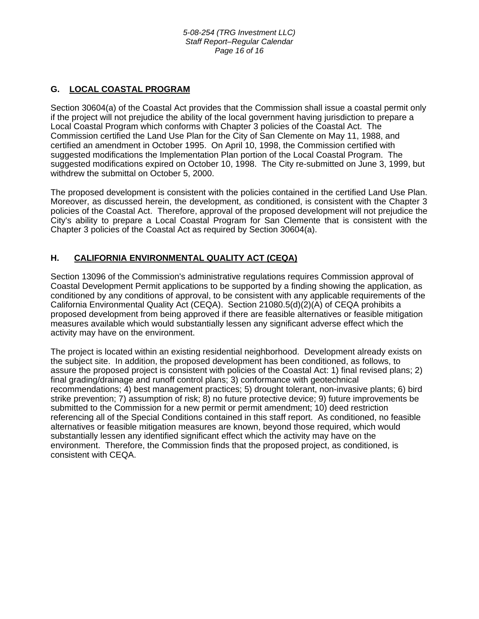# **G. LOCAL COASTAL PROGRAM**

Section 30604(a) of the Coastal Act provides that the Commission shall issue a coastal permit only if the project will not prejudice the ability of the local government having jurisdiction to prepare a Local Coastal Program which conforms with Chapter 3 policies of the Coastal Act. The Commission certified the Land Use Plan for the City of San Clemente on May 11, 1988, and certified an amendment in October 1995. On April 10, 1998, the Commission certified with suggested modifications the Implementation Plan portion of the Local Coastal Program. The suggested modifications expired on October 10, 1998. The City re-submitted on June 3, 1999, but withdrew the submittal on October 5, 2000.

The proposed development is consistent with the policies contained in the certified Land Use Plan. Moreover, as discussed herein, the development, as conditioned, is consistent with the Chapter 3 policies of the Coastal Act. Therefore, approval of the proposed development will not prejudice the City's ability to prepare a Local Coastal Program for San Clemente that is consistent with the Chapter 3 policies of the Coastal Act as required by Section 30604(a).

# **H. CALIFORNIA ENVIRONMENTAL QUALITY ACT (CEQA)**

Section 13096 of the Commission's administrative regulations requires Commission approval of Coastal Development Permit applications to be supported by a finding showing the application, as conditioned by any conditions of approval, to be consistent with any applicable requirements of the California Environmental Quality Act (CEQA). Section 21080.5(d)(2)(A) of CEQA prohibits a proposed development from being approved if there are feasible alternatives or feasible mitigation measures available which would substantially lessen any significant adverse effect which the activity may have on the environment.

The project is located within an existing residential neighborhood. Development already exists on the subject site. In addition, the proposed development has been conditioned, as follows, to assure the proposed project is consistent with policies of the Coastal Act: 1) final revised plans; 2) final grading/drainage and runoff control plans; 3) conformance with geotechnical recommendations; 4) best management practices; 5) drought tolerant, non-invasive plants; 6) bird strike prevention; 7) assumption of risk; 8) no future protective device; 9) future improvements be submitted to the Commission for a new permit or permit amendment; 10) deed restriction referencing all of the Special Conditions contained in this staff report. As conditioned, no feasible alternatives or feasible mitigation measures are known, beyond those required, which would substantially lessen any identified significant effect which the activity may have on the environment. Therefore, the Commission finds that the proposed project, as conditioned, is consistent with CEQA.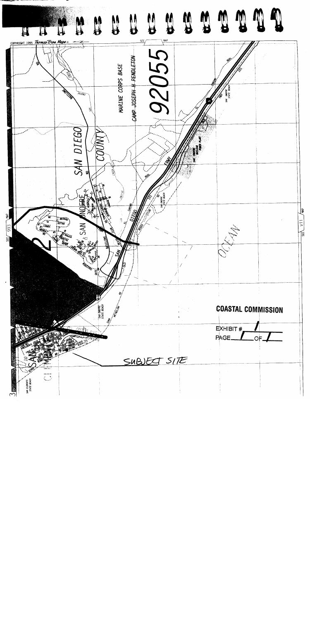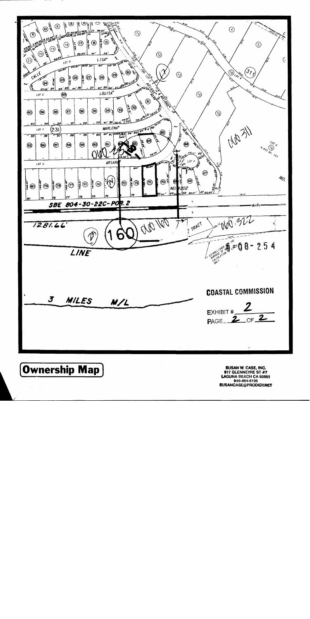

917 GLENNEYRE ST #7 LAGUNA BEACH CA 92651 949-494-6105 **SUSANCASE@PRODIGY.NET**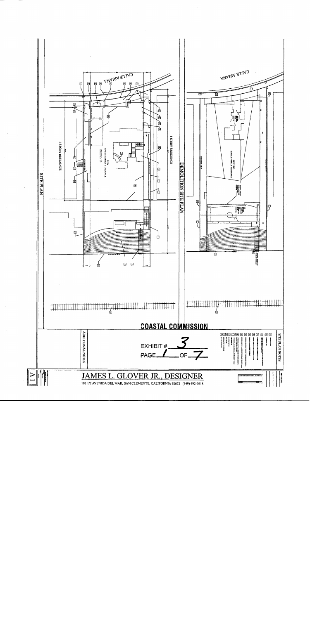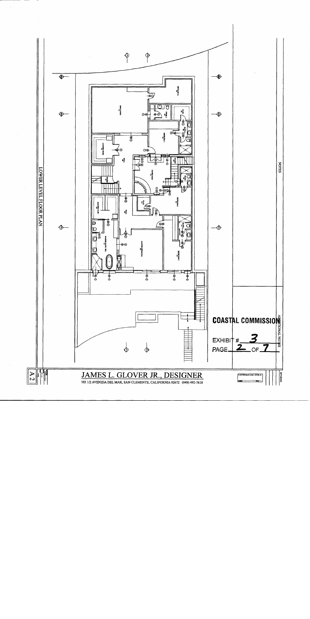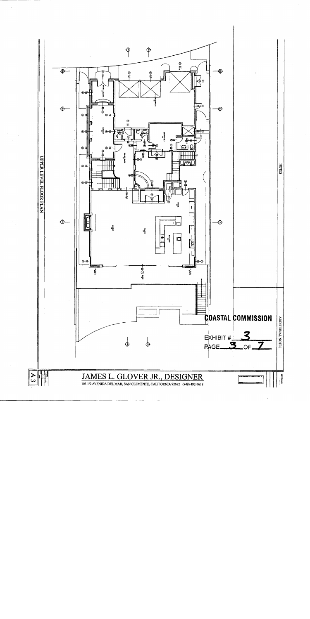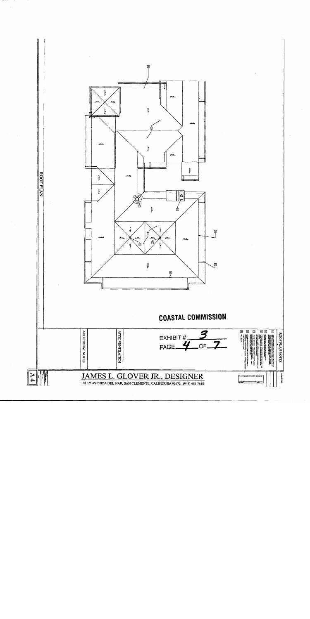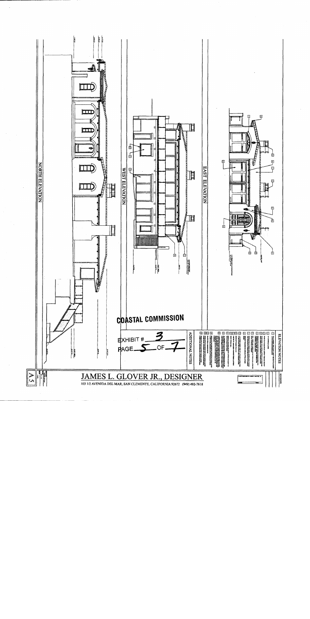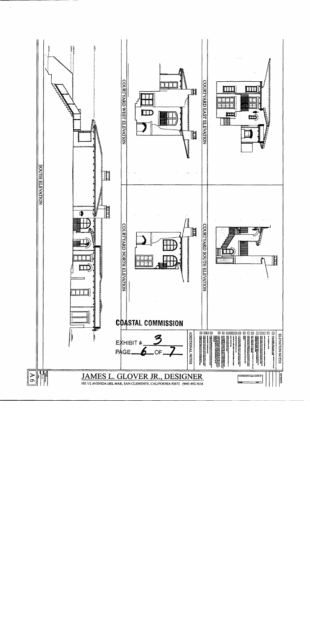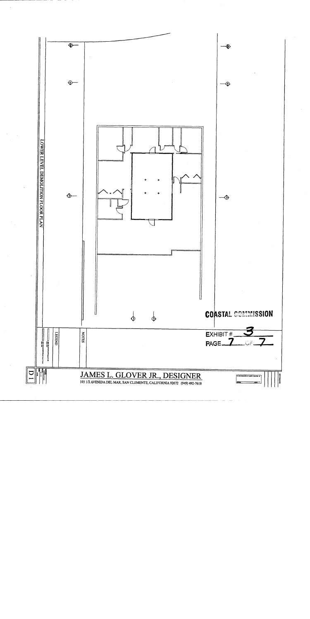